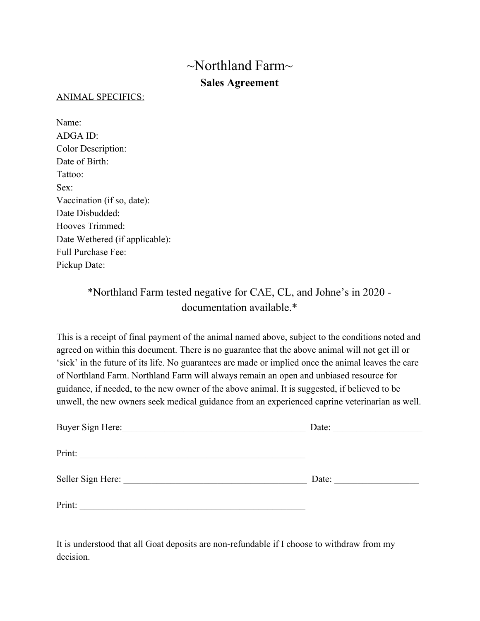# $\sim$ Northland Farm $\sim$ **Sales Agreement**

## ANIMAL SPECIFICS:

Name: ADGA ID: Color Description: Date of Birth: Tattoo: Sex: Vaccination (if so, date): Date Disbudded<sup>-</sup> Hooves Trimmed: Date Wethered (if applicable): Full Purchase Fee: Pickup Date:

# \*Northland Farm tested negative for CAE, CL, and Johne's in 2020 documentation available.\*

This is a receipt of final payment of the animal named above, subject to the conditions noted and agreed on within this document. There is no guarantee that the above animal will not get ill or 'sick' in the future of its life. No guarantees are made or implied once the animal leaves the care of Northland Farm. Northland Farm will always remain an open and unbiased resource for guidance, if needed, to the new owner of the above animal. It is suggested, if believed to be unwell, the new owners seek medical guidance from an experienced caprine veterinarian as well.

| Buyer Sign Here:  | Date: |
|-------------------|-------|
| Print:            |       |
| Seller Sign Here: | Date: |
| Print:            |       |

It is understood that all Goat deposits are non-refundable if I choose to withdraw from my decision.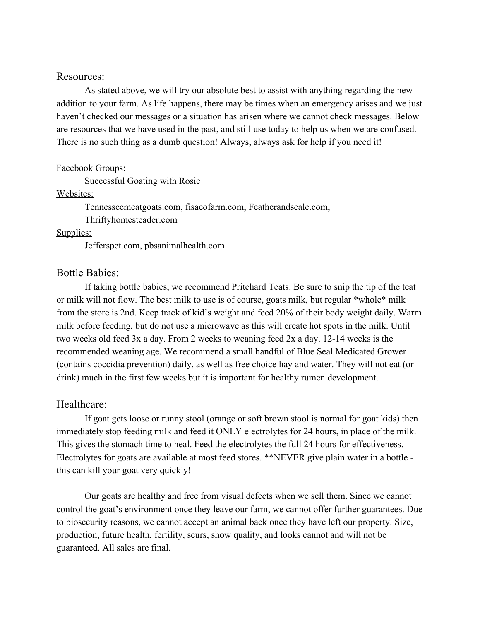## Resources:

As stated above, we will try our absolute best to assist with anything regarding the new addition to your farm. As life happens, there may be times when an emergency arises and we just haven't checked our messages or a situation has arisen where we cannot check messages. Below are resources that we have used in the past, and still use today to help us when we are confused. There is no such thing as a dumb question! Always, always ask for help if you need it!

#### Facebook Groups:

Successful Goating with Rosie

# Websites:

Tennesseemeatgoats.com, fisacofarm.com, Featherandscale.com,

Thriftyhomesteader.com

#### Supplies:

Jefferspet.com, pbsanimalhealth.com

# Bottle Babies:

If taking bottle babies, we recommend Pritchard Teats. Be sure to snip the tip of the teat or milk will not flow. The best milk to use is of course, goats milk, but regular \*whole\* milk from the store is 2nd. Keep track of kid's weight and feed 20% of their body weight daily. Warm milk before feeding, but do not use a microwave as this will create hot spots in the milk. Until two weeks old feed 3x a day. From 2 weeks to weaning feed 2x a day. 12-14 weeks is the recommended weaning age. We recommend a small handful of Blue Seal Medicated Grower (contains coccidia prevention) daily, as well as free choice hay and water. They will not eat (or drink) much in the first few weeks but it is important for healthy rumen development.

# Healthcare:

If goat gets loose or runny stool (orange or soft brown stool is normal for goat kids) then immediately stop feeding milk and feed it ONLY electrolytes for 24 hours, in place of the milk. This gives the stomach time to heal. Feed the electrolytes the full 24 hours for effectiveness. Electrolytes for goats are available at most feed stores. \*\*NEVER give plain water in a bottle this can kill your goat very quickly!

Our goats are healthy and free from visual defects when we sell them. Since we cannot control the goat's environment once they leave our farm, we cannot offer further guarantees. Due to biosecurity reasons, we cannot accept an animal back once they have left our property. Size, production, future health, fertility, scurs, show quality, and looks cannot and will not be guaranteed. All sales are final.